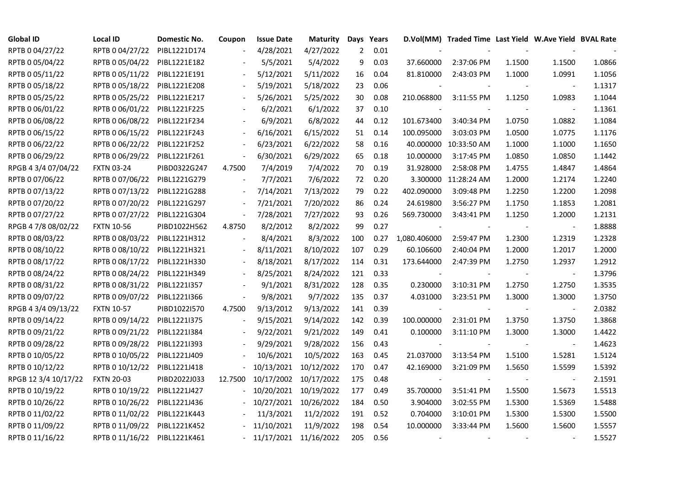| <b>Global ID</b>     | Local ID                     | Domestic No. | Coupon  | <b>Issue Date</b> | <b>Maturity</b> |                | Days Years |                          | D.Vol(MM) Traded Time Last Yield W.Ave Yield BVAL Rate |        |                |        |
|----------------------|------------------------------|--------------|---------|-------------------|-----------------|----------------|------------|--------------------------|--------------------------------------------------------|--------|----------------|--------|
| RPTB 0 04/27/22      | RPTB 0 04/27/22              | PIBL1221D174 |         | 4/28/2021         | 4/27/2022       | $\overline{2}$ | 0.01       |                          |                                                        |        |                |        |
| RPTB 0 05/04/22      | RPTB 0 05/04/22              | PIBL1221E182 |         | 5/5/2021          | 5/4/2022        | 9              | 0.03       | 37.660000                | 2:37:06 PM                                             | 1.1500 | 1.1500         | 1.0866 |
| RPTB 0 05/11/22      | RPTB 0 05/11/22              | PIBL1221E191 |         | 5/12/2021         | 5/11/2022       | 16             | 0.04       | 81.810000                | 2:43:03 PM                                             | 1.1000 | 1.0991         | 1.1056 |
| RPTB 0 05/18/22      | RPTB 0 05/18/22              | PIBL1221E208 |         | 5/19/2021         | 5/18/2022       | 23             | 0.06       |                          |                                                        |        | $\blacksquare$ | 1.1317 |
| RPTB 0 05/25/22      | RPTB 0 05/25/22              | PIBL1221E217 |         | 5/26/2021         | 5/25/2022       | 30             | 0.08       | 210.068800               | 3:11:55 PM                                             | 1.1250 | 1.0983         | 1.1044 |
| RPTB 0 06/01/22      | RPTB 0 06/01/22              | PIBL1221F225 |         | 6/2/2021          | 6/1/2022        | 37             | 0.10       |                          |                                                        |        | $\blacksquare$ | 1.1361 |
| RPTB 0 06/08/22      | RPTB 0 06/08/22              | PIBL1221F234 |         | 6/9/2021          | 6/8/2022        | 44             | 0.12       | 101.673400               | 3:40:34 PM                                             | 1.0750 | 1.0882         | 1.1084 |
| RPTB 0 06/15/22      | RPTB 0 06/15/22              | PIBL1221F243 |         | 6/16/2021         | 6/15/2022       | 51             | 0.14       | 100.095000               | 3:03:03 PM                                             | 1.0500 | 1.0775         | 1.1176 |
| RPTB 0 06/22/22      | RPTB 0 06/22/22              | PIBL1221F252 |         | 6/23/2021         | 6/22/2022       | 58             | 0.16       | 40.000000                | 10:33:50 AM                                            | 1.1000 | 1.1000         | 1.1650 |
| RPTB 0 06/29/22      | RPTB 0 06/29/22              | PIBL1221F261 |         | 6/30/2021         | 6/29/2022       | 65             | 0.18       | 10.000000                | 3:17:45 PM                                             | 1.0850 | 1.0850         | 1.1442 |
| RPGB 4 3/4 07/04/22  | <b>FXTN 03-24</b>            | PIBD0322G247 | 4.7500  | 7/4/2019          | 7/4/2022        | 70             | 0.19       | 31.928000                | 2:58:08 PM                                             | 1.4755 | 1.4847         | 1.4864 |
| RPTB 0 07/06/22      | RPTB 0 07/06/22              | PIBL1221G279 |         | 7/7/2021          | 7/6/2022        | 72             | 0.20       | 3.300000                 | 11:28:24 AM                                            | 1.2000 | 1.2174         | 1.2240 |
| RPTB 0 07/13/22      | RPTB 0 07/13/22              | PIBL1221G288 |         | 7/14/2021         | 7/13/2022       | 79             | 0.22       | 402.090000               | 3:09:48 PM                                             | 1.2250 | 1.2200         | 1.2098 |
| RPTB 0 07/20/22      | RPTB 0 07/20/22              | PIBL1221G297 |         | 7/21/2021         | 7/20/2022       | 86             | 0.24       | 24.619800                | 3:56:27 PM                                             | 1.1750 | 1.1853         | 1.2081 |
| RPTB 0 07/27/22      | RPTB 0 07/27/22              | PIBL1221G304 |         | 7/28/2021         | 7/27/2022       | 93             | 0.26       | 569.730000               | 3:43:41 PM                                             | 1.1250 | 1.2000         | 1.2131 |
| RPGB 4 7/8 08/02/22  | <b>FXTN 10-56</b>            | PIBD1022H562 | 4.8750  | 8/2/2012          | 8/2/2022        | 99             | 0.27       |                          |                                                        |        |                | 1.8888 |
| RPTB 0 08/03/22      | RPTB 0 08/03/22              | PIBL1221H312 |         | 8/4/2021          | 8/3/2022        | 100            | 0.27       | 1,080.406000             | 2:59:47 PM                                             | 1.2300 | 1.2319         | 1.2328 |
| RPTB 0 08/10/22      | RPTB 0 08/10/22              | PIBL1221H321 |         | 8/11/2021         | 8/10/2022       | 107            | 0.29       | 60.106600                | 2:40:04 PM                                             | 1.2000 | 1.2017         | 1.2000 |
| RPTB 0 08/17/22      | RPTB 0 08/17/22              | PIBL1221H330 |         | 8/18/2021         | 8/17/2022       | 114            | 0.31       | 173.644000               | 2:47:39 PM                                             | 1.2750 | 1.2937         | 1.2912 |
| RPTB 0 08/24/22      | RPTB 0 08/24/22              | PIBL1221H349 |         | 8/25/2021         | 8/24/2022       | 121            | 0.33       | $\overline{\phantom{a}}$ |                                                        | $\sim$ | $\blacksquare$ | 1.3796 |
| RPTB 0 08/31/22      | RPTB 0 08/31/22              | PIBL12211357 |         | 9/1/2021          | 8/31/2022       | 128            | 0.35       | 0.230000                 | 3:10:31 PM                                             | 1.2750 | 1.2750         | 1.3535 |
| RPTB 0 09/07/22      | RPTB 0 09/07/22              | PIBL1221I366 |         | 9/8/2021          | 9/7/2022        | 135            | 0.37       | 4.031000                 | 3:23:51 PM                                             | 1.3000 | 1.3000         | 1.3750 |
| RPGB 4 3/4 09/13/22  | <b>FXTN 10-57</b>            | PIBD1022I570 | 4.7500  | 9/13/2012         | 9/13/2022       | 141            | 0.39       |                          |                                                        |        |                | 2.0382 |
| RPTB 0 09/14/22      | RPTB 0 09/14/22              | PIBL1221I375 |         | 9/15/2021         | 9/14/2022       | 142            | 0.39       | 100.000000               | 2:31:01 PM                                             | 1.3750 | 1.3750         | 1.3868 |
| RPTB 0 09/21/22      | RPTB 0 09/21/22              | PIBL12211384 |         | 9/22/2021         | 9/21/2022       | 149            | 0.41       | 0.100000                 | 3:11:10 PM                                             | 1.3000 | 1.3000         | 1.4422 |
| RPTB 0 09/28/22      | RPTB 0 09/28/22              | PIBL1221I393 |         | 9/29/2021         | 9/28/2022       | 156            | 0.43       |                          |                                                        |        | $\blacksquare$ | 1.4623 |
| RPTB 0 10/05/22      | RPTB 0 10/05/22              | PIBL1221J409 |         | 10/6/2021         | 10/5/2022       | 163            | 0.45       | 21.037000                | 3:13:54 PM                                             | 1.5100 | 1.5281         | 1.5124 |
| RPTB 0 10/12/22      | RPTB 0 10/12/22              | PIBL1221J418 |         | 10/13/2021        | 10/12/2022      | 170            | 0.47       | 42.169000                | 3:21:09 PM                                             | 1.5650 | 1.5599         | 1.5392 |
| RPGB 12 3/4 10/17/22 | <b>FXTN 20-03</b>            | PIBD2022J033 | 12.7500 | 10/17/2002        | 10/17/2022      | 175            | 0.48       |                          |                                                        |        | $\blacksquare$ | 2.1591 |
| RPTB 0 10/19/22      | RPTB 0 10/19/22              | PIBL1221J427 |         | 10/20/2021        | 10/19/2022      | 177            | 0.49       | 35.700000                | 3:51:41 PM                                             | 1.5500 | 1.5673         | 1.5513 |
| RPTB 0 10/26/22      | RPTB 0 10/26/22              | PIBL1221J436 |         | 10/27/2021        | 10/26/2022      | 184            | 0.50       | 3.904000                 | 3:02:55 PM                                             | 1.5300 | 1.5369         | 1.5488 |
| RPTB 0 11/02/22      | RPTB 0 11/02/22              | PIBL1221K443 |         | 11/3/2021         | 11/2/2022       | 191            | 0.52       | 0.704000                 | 3:10:01 PM                                             | 1.5300 | 1.5300         | 1.5500 |
| RPTB 0 11/09/22      | RPTB 0 11/09/22              | PIBL1221K452 |         | 11/10/2021        | 11/9/2022       | 198            | 0.54       | 10.000000                | 3:33:44 PM                                             | 1.5600 | 1.5600         | 1.5557 |
| RPTB 0 11/16/22      | RPTB 0 11/16/22 PIBL1221K461 |              |         | $-11/17/2021$     | 11/16/2022      | 205            | 0.56       | $\overline{\phantom{a}}$ |                                                        |        |                | 1.5527 |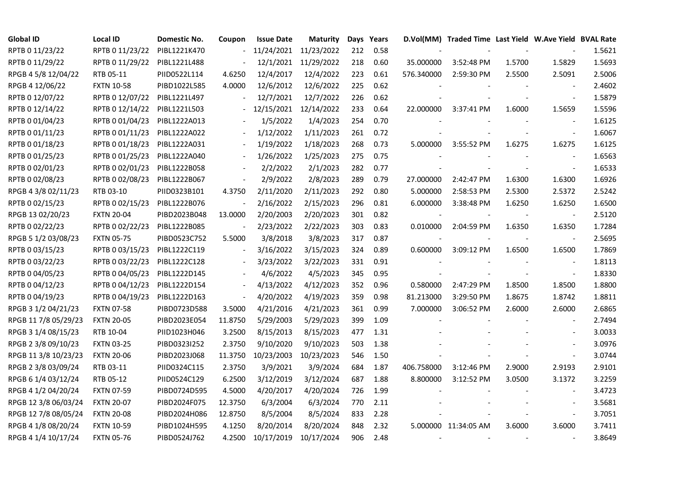| <b>Global ID</b>     | <b>Local ID</b>   | Domestic No. | Coupon         | <b>Issue Date</b> | <b>Maturity</b> |     | Days Years |            | D.Vol(MM) Traded Time Last Yield W.Ave Yield BVAL Rate |        |                          |        |
|----------------------|-------------------|--------------|----------------|-------------------|-----------------|-----|------------|------------|--------------------------------------------------------|--------|--------------------------|--------|
| RPTB 0 11/23/22      | RPTB 0 11/23/22   | PIBL1221K470 |                | 11/24/2021        | 11/23/2022      | 212 | 0.58       |            |                                                        |        |                          | 1.5621 |
| RPTB 0 11/29/22      | RPTB 0 11/29/22   | PIBL1221L488 |                | 12/1/2021         | 11/29/2022      | 218 | 0.60       | 35.000000  | 3:52:48 PM                                             | 1.5700 | 1.5829                   | 1.5693 |
| RPGB 4 5/8 12/04/22  | RTB 05-11         | PIID0522L114 | 4.6250         | 12/4/2017         | 12/4/2022       | 223 | 0.61       | 576.340000 | 2:59:30 PM                                             | 2.5500 | 2.5091                   | 2.5006 |
| RPGB 4 12/06/22      | <b>FXTN 10-58</b> | PIBD1022L585 | 4.0000         | 12/6/2012         | 12/6/2022       | 225 | 0.62       |            |                                                        |        | $\overline{\phantom{a}}$ | 2.4602 |
| RPTB 0 12/07/22      | RPTB 0 12/07/22   | PIBL1221L497 |                | 12/7/2021         | 12/7/2022       | 226 | 0.62       |            |                                                        |        | $\overline{\phantom{a}}$ | 1.5879 |
| RPTB 0 12/14/22      | RPTB 0 12/14/22   | PIBL1221L503 |                | 12/15/2021        | 12/14/2022      | 233 | 0.64       | 22.000000  | 3:37:41 PM                                             | 1.6000 | 1.5659                   | 1.5596 |
| RPTB 0 01/04/23      | RPTB 0 01/04/23   | PIBL1222A013 |                | 1/5/2022          | 1/4/2023        | 254 | 0.70       |            |                                                        |        | $\sim$                   | 1.6125 |
| RPTB 0 01/11/23      | RPTB 0 01/11/23   | PIBL1222A022 |                | 1/12/2022         | 1/11/2023       | 261 | 0.72       |            |                                                        |        | $\overline{\phantom{a}}$ | 1.6067 |
| RPTB 0 01/18/23      | RPTB 0 01/18/23   | PIBL1222A031 |                | 1/19/2022         | 1/18/2023       | 268 | 0.73       | 5.000000   | 3:55:52 PM                                             | 1.6275 | 1.6275                   | 1.6125 |
| RPTB 0 01/25/23      | RPTB 0 01/25/23   | PIBL1222A040 |                | 1/26/2022         | 1/25/2023       | 275 | 0.75       |            |                                                        |        | $\overline{\phantom{a}}$ | 1.6563 |
| RPTB 0 02/01/23      | RPTB 0 02/01/23   | PIBL1222B058 |                | 2/2/2022          | 2/1/2023        | 282 | 0.77       |            |                                                        |        | $\blacksquare$           | 1.6533 |
| RPTB 0 02/08/23      | RPTB 0 02/08/23   | PIBL1222B067 | $\blacksquare$ | 2/9/2022          | 2/8/2023        | 289 | 0.79       | 27.000000  | 2:42:47 PM                                             | 1.6300 | 1.6300                   | 1.6926 |
| RPGB 4 3/8 02/11/23  | RTB 03-10         | PIID0323B101 | 4.3750         | 2/11/2020         | 2/11/2023       | 292 | 0.80       | 5.000000   | 2:58:53 PM                                             | 2.5300 | 2.5372                   | 2.5242 |
| RPTB 0 02/15/23      | RPTB 0 02/15/23   | PIBL1222B076 |                | 2/16/2022         | 2/15/2023       | 296 | 0.81       | 6.000000   | 3:38:48 PM                                             | 1.6250 | 1.6250                   | 1.6500 |
| RPGB 13 02/20/23     | <b>FXTN 20-04</b> | PIBD2023B048 | 13.0000        | 2/20/2003         | 2/20/2023       | 301 | 0.82       |            |                                                        |        | $\blacksquare$           | 2.5120 |
| RPTB 0 02/22/23      | RPTB 0 02/22/23   | PIBL1222B085 |                | 2/23/2022         | 2/22/2023       | 303 | 0.83       | 0.010000   | 2:04:59 PM                                             | 1.6350 | 1.6350                   | 1.7284 |
| RPGB 5 1/2 03/08/23  | <b>FXTN 05-75</b> | PIBD0523C752 | 5.5000         | 3/8/2018          | 3/8/2023        | 317 | 0.87       |            |                                                        |        | $\blacksquare$           | 2.5695 |
| RPTB 0 03/15/23      | RPTB 0 03/15/23   | PIBL1222C119 | $\blacksquare$ | 3/16/2022         | 3/15/2023       | 324 | 0.89       | 0.600000   | 3:09:12 PM                                             | 1.6500 | 1.6500                   | 1.7869 |
| RPTB 0 03/22/23      | RPTB 0 03/22/23   | PIBL1222C128 |                | 3/23/2022         | 3/22/2023       | 331 | 0.91       |            |                                                        |        | $\overline{\phantom{a}}$ | 1.8113 |
| RPTB 0 04/05/23      | RPTB 0 04/05/23   | PIBL1222D145 |                | 4/6/2022          | 4/5/2023        | 345 | 0.95       |            |                                                        |        | $\overline{\phantom{a}}$ | 1.8330 |
| RPTB 0 04/12/23      | RPTB 0 04/12/23   | PIBL1222D154 | $\blacksquare$ | 4/13/2022         | 4/12/2023       | 352 | 0.96       | 0.580000   | 2:47:29 PM                                             | 1.8500 | 1.8500                   | 1.8800 |
| RPTB 0 04/19/23      | RPTB 0 04/19/23   | PIBL1222D163 | $\blacksquare$ | 4/20/2022         | 4/19/2023       | 359 | 0.98       | 81.213000  | 3:29:50 PM                                             | 1.8675 | 1.8742                   | 1.8811 |
| RPGB 3 1/2 04/21/23  | <b>FXTN 07-58</b> | PIBD0723D588 | 3.5000         | 4/21/2016         | 4/21/2023       | 361 | 0.99       | 7.000000   | 3:06:52 PM                                             | 2.6000 | 2.6000                   | 2.6865 |
| RPGB 11 7/8 05/29/23 | <b>FXTN 20-05</b> | PIBD2023E054 | 11.8750        | 5/29/2003         | 5/29/2023       | 399 | 1.09       |            |                                                        |        |                          | 2.7494 |
| RPGB 3 1/4 08/15/23  | RTB 10-04         | PIID1023H046 | 3.2500         | 8/15/2013         | 8/15/2023       | 477 | 1.31       |            |                                                        |        | $\overline{\phantom{a}}$ | 3.0033 |
| RPGB 2 3/8 09/10/23  | <b>FXTN 03-25</b> | PIBD0323I252 | 2.3750         | 9/10/2020         | 9/10/2023       | 503 | 1.38       |            |                                                        |        | $\sim$                   | 3.0976 |
| RPGB 11 3/8 10/23/23 | <b>FXTN 20-06</b> | PIBD2023J068 | 11.3750        | 10/23/2003        | 10/23/2023      | 546 | 1.50       |            |                                                        |        | $\blacksquare$           | 3.0744 |
| RPGB 2 3/8 03/09/24  | RTB 03-11         | PIID0324C115 | 2.3750         | 3/9/2021          | 3/9/2024        | 684 | 1.87       | 406.758000 | 3:12:46 PM                                             | 2.9000 | 2.9193                   | 2.9101 |
| RPGB 6 1/4 03/12/24  | RTB 05-12         | PIID0524C129 | 6.2500         | 3/12/2019         | 3/12/2024       | 687 | 1.88       | 8.800000   | 3:12:52 PM                                             | 3.0500 | 3.1372                   | 3.2259 |
| RPGB 4 1/2 04/20/24  | <b>FXTN 07-59</b> | PIBD0724D595 | 4.5000         | 4/20/2017         | 4/20/2024       | 726 | 1.99       |            |                                                        |        |                          | 3.4723 |
| RPGB 12 3/8 06/03/24 | <b>FXTN 20-07</b> | PIBD2024F075 | 12.3750        | 6/3/2004          | 6/3/2024        | 770 | 2.11       |            |                                                        |        | $\sim$                   | 3.5681 |
| RPGB 12 7/8 08/05/24 | <b>FXTN 20-08</b> | PIBD2024H086 | 12.8750        | 8/5/2004          | 8/5/2024        | 833 | 2.28       |            |                                                        |        | $\overline{\phantom{a}}$ | 3.7051 |
| RPGB 4 1/8 08/20/24  | <b>FXTN 10-59</b> | PIBD1024H595 | 4.1250         | 8/20/2014         | 8/20/2024       | 848 | 2.32       |            | 5.000000 11:34:05 AM                                   | 3.6000 | 3.6000                   | 3.7411 |
| RPGB 4 1/4 10/17/24  | <b>FXTN 05-76</b> | PIBD0524J762 | 4.2500         | 10/17/2019        | 10/17/2024      | 906 | 2.48       |            |                                                        |        | $\sim$                   | 3.8649 |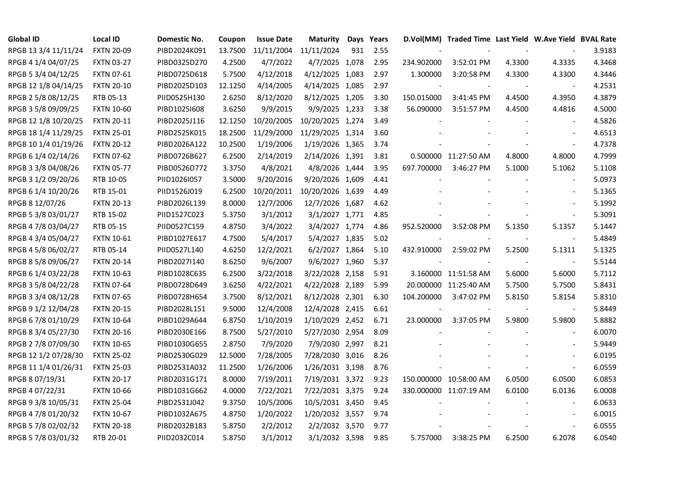| <b>Global ID</b>     | <b>Local ID</b>   | Domestic No. | Coupon  | <b>Issue Date</b> | <b>Maturity</b>  |     | Days Years |            | D.Vol(MM) Traded Time Last Yield W.Ave Yield BVAL Rate |        |                          |        |
|----------------------|-------------------|--------------|---------|-------------------|------------------|-----|------------|------------|--------------------------------------------------------|--------|--------------------------|--------|
| RPGB 13 3/4 11/11/24 | <b>FXTN 20-09</b> | PIBD2024K091 | 13.7500 | 11/11/2004        | 11/11/2024       | 931 | 2.55       |            |                                                        |        |                          | 3.9183 |
| RPGB 4 1/4 04/07/25  | <b>FXTN 03-27</b> | PIBD0325D270 | 4.2500  | 4/7/2022          | 4/7/2025 1,078   |     | 2.95       | 234.902000 | 3:52:01 PM                                             | 4.3300 | 4.3335                   | 4.3468 |
| RPGB 5 3/4 04/12/25  | <b>FXTN 07-61</b> | PIBD0725D618 | 5.7500  | 4/12/2018         | 4/12/2025 1,083  |     | 2.97       | 1.300000   | 3:20:58 PM                                             | 4.3300 | 4.3300                   | 4.3446 |
| RPGB 12 1/8 04/14/25 | <b>FXTN 20-10</b> | PIBD2025D103 | 12.1250 | 4/14/2005         | 4/14/2025 1,085  |     | 2.97       |            |                                                        |        | $\overline{\phantom{a}}$ | 4.2531 |
| RPGB 2 5/8 08/12/25  | RTB 05-13         | PIID0525H130 | 2.6250  | 8/12/2020         | 8/12/2025 1,205  |     | 3.30       | 150.015000 | 3:41:45 PM                                             | 4.4500 | 4.3950                   | 4.3879 |
| RPGB 3 5/8 09/09/25  | <b>FXTN 10-60</b> | PIBD10251608 | 3.6250  | 9/9/2015          | 9/9/2025 1,233   |     | 3.38       | 56.090000  | 3:51:57 PM                                             | 4.4500 | 4.4816                   | 4.5000 |
| RPGB 12 1/8 10/20/25 | <b>FXTN 20-11</b> | PIBD2025J116 | 12.1250 | 10/20/2005        | 10/20/2025 1,274 |     | 3.49       |            |                                                        |        | $\sim$                   | 4.5826 |
| RPGB 18 1/4 11/29/25 | <b>FXTN 25-01</b> | PIBD2525K015 | 18.2500 | 11/29/2000        | 11/29/2025 1,314 |     | 3.60       |            |                                                        |        | $\overline{\phantom{a}}$ | 4.6513 |
| RPGB 10 1/4 01/19/26 | <b>FXTN 20-12</b> | PIBD2026A122 | 10.2500 | 1/19/2006         | 1/19/2026 1,365  |     | 3.74       |            |                                                        |        | $\overline{\phantom{a}}$ | 4.7378 |
| RPGB 6 1/4 02/14/26  | <b>FXTN 07-62</b> | PIBD0726B627 | 6.2500  | 2/14/2019         | 2/14/2026 1,391  |     | 3.81       |            | 0.500000 11:27:50 AM                                   | 4.8000 | 4.8000                   | 4.7999 |
| RPGB 3 3/8 04/08/26  | <b>FXTN 05-77</b> | PIBD0526D772 | 3.3750  | 4/8/2021          | 4/8/2026 1,444   |     | 3.95       | 697.700000 | 3:46:27 PM                                             | 5.1000 | 5.1062                   | 5.1108 |
| RPGB 3 1/2 09/20/26  | RTB 10-05         | PIID1026I057 | 3.5000  | 9/20/2016         | 9/20/2026 1,609  |     | 4.41       |            |                                                        |        | $\overline{\phantom{a}}$ | 5.0973 |
| RPGB 6 1/4 10/20/26  | RTB 15-01         | PIID1526J019 | 6.2500  | 10/20/2011        | 10/20/2026 1,639 |     | 4.49       |            |                                                        |        | $\blacksquare$           | 5.1365 |
| RPGB 8 12/07/26      | <b>FXTN 20-13</b> | PIBD2026L139 | 8.0000  | 12/7/2006         | 12/7/2026 1,687  |     | 4.62       |            |                                                        |        | $\sim$                   | 5.1992 |
| RPGB 5 3/8 03/01/27  | RTB 15-02         | PIID1527C023 | 5.3750  | 3/1/2012          | 3/1/2027 1,771   |     | 4.85       |            |                                                        |        | $\sim$                   | 5.3091 |
| RPGB 4 7/8 03/04/27  | RTB 05-15         | PIID0527C159 | 4.8750  | 3/4/2022          | 3/4/2027 1,774   |     | 4.86       | 952.520000 | 3:52:08 PM                                             | 5.1350 | 5.1357                   | 5.1447 |
| RPGB 4 3/4 05/04/27  | <b>FXTN 10-61</b> | PIBD1027E617 | 4.7500  | 5/4/2017          | 5/4/2027 1,835   |     | 5.02       |            |                                                        |        | $\overline{\phantom{a}}$ | 5.4849 |
| RPGB 4 5/8 06/02/27  | RTB 05-14         | PIID0527L140 | 4.6250  | 12/2/2021         | 6/2/2027 1,864   |     | 5.10       | 432.910000 | 2:59:02 PM                                             | 5.2500 | 5.1311                   | 5.1325 |
| RPGB 8 5/8 09/06/27  | <b>FXTN 20-14</b> | PIBD2027I140 | 8.6250  | 9/6/2007          | 9/6/2027 1,960   |     | 5.37       |            |                                                        |        | $\overline{\phantom{a}}$ | 5.5144 |
| RPGB 6 1/4 03/22/28  | <b>FXTN 10-63</b> | PIBD1028C635 | 6.2500  | 3/22/2018         | 3/22/2028 2,158  |     | 5.91       |            | 3.160000 11:51:58 AM                                   | 5.6000 | 5.6000                   | 5.7112 |
| RPGB 3 5/8 04/22/28  | <b>FXTN 07-64</b> | PIBD0728D649 | 3.6250  | 4/22/2021         | 4/22/2028 2,189  |     | 5.99       |            | 20.000000 11:25:40 AM                                  | 5.7500 | 5.7500                   | 5.8431 |
| RPGB 3 3/4 08/12/28  | <b>FXTN 07-65</b> | PIBD0728H654 | 3.7500  | 8/12/2021         | 8/12/2028 2,301  |     | 6.30       | 104.200000 | 3:47:02 PM                                             | 5.8150 | 5.8154                   | 5.8310 |
| RPGB 9 1/2 12/04/28  | <b>FXTN 20-15</b> | PIBD2028L151 | 9.5000  | 12/4/2008         | 12/4/2028 2,415  |     | 6.61       |            |                                                        |        |                          | 5.8449 |
| RPGB 67/8 01/10/29   | <b>FXTN 10-64</b> | PIBD1029A644 | 6.8750  | 1/10/2019         | 1/10/2029 2,452  |     | 6.71       | 23.000000  | 3:37:05 PM                                             | 5.9800 | 5.9800                   | 5.8882 |
| RPGB 8 3/4 05/27/30  | <b>FXTN 20-16</b> | PIBD2030E166 | 8.7500  | 5/27/2010         | 5/27/2030 2,954  |     | 8.09       |            |                                                        |        | $\overline{\phantom{a}}$ | 6.0070 |
| RPGB 2 7/8 07/09/30  | <b>FXTN 10-65</b> | PIBD1030G655 | 2.8750  | 7/9/2020          | 7/9/2030 2,997   |     | 8.21       |            |                                                        |        |                          | 5.9449 |
| RPGB 12 1/2 07/28/30 | <b>FXTN 25-02</b> | PIBD2530G029 | 12.5000 | 7/28/2005         | 7/28/2030 3,016  |     | 8.26       |            |                                                        |        | $\blacksquare$           | 6.0195 |
| RPGB 11 1/4 01/26/31 | <b>FXTN 25-03</b> | PIBD2531A032 | 11.2500 | 1/26/2006         | 1/26/2031 3,198  |     | 8.76       |            |                                                        |        | $\blacksquare$           | 6.0559 |
| RPGB 8 07/19/31      | <b>FXTN 20-17</b> | PIBD2031G171 | 8.0000  | 7/19/2011         | 7/19/2031 3,372  |     | 9.23       |            | 150.000000 10:58:00 AM                                 | 6.0500 | 6.0500                   | 6.0853 |
| RPGB 4 07/22/31      | <b>FXTN 10-66</b> | PIBD1031G662 | 4.0000  | 7/22/2021         | 7/22/2031 3,375  |     | 9.24       |            | 330.000000 11:07:19 AM                                 | 6.0100 | 6.0136                   | 6.0008 |
| RPGB 9 3/8 10/05/31  | <b>FXTN 25-04</b> | PIBD2531J042 | 9.3750  | 10/5/2006         | 10/5/2031 3,450  |     | 9.45       |            |                                                        |        | $\overline{\phantom{a}}$ | 6.0633 |
| RPGB 4 7/8 01/20/32  | <b>FXTN 10-67</b> | PIBD1032A675 | 4.8750  | 1/20/2022         | 1/20/2032 3,557  |     | 9.74       |            |                                                        |        | $\overline{\phantom{a}}$ | 6.0015 |
| RPGB 5 7/8 02/02/32  | <b>FXTN 20-18</b> | PIBD2032B183 | 5.8750  | 2/2/2012          | 2/2/2032 3,570   |     | 9.77       |            |                                                        |        | $\overline{a}$           | 6.0555 |
| RPGB 5 7/8 03/01/32  | RTB 20-01         | PIID2032C014 | 5.8750  | 3/1/2012          | 3/1/2032 3,598   |     | 9.85       | 5.757000   | 3:38:25 PM                                             | 6.2500 | 6.2078                   | 6.0540 |